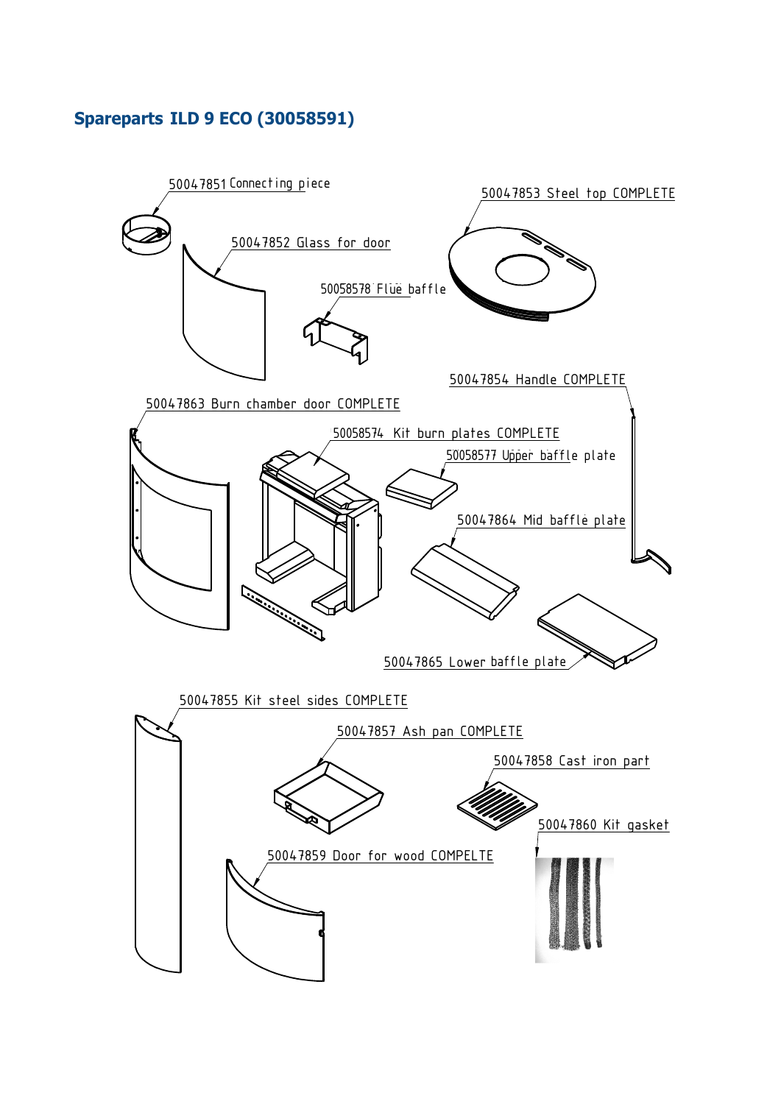## **Spareparts ILD 9 ECO (30058591)**

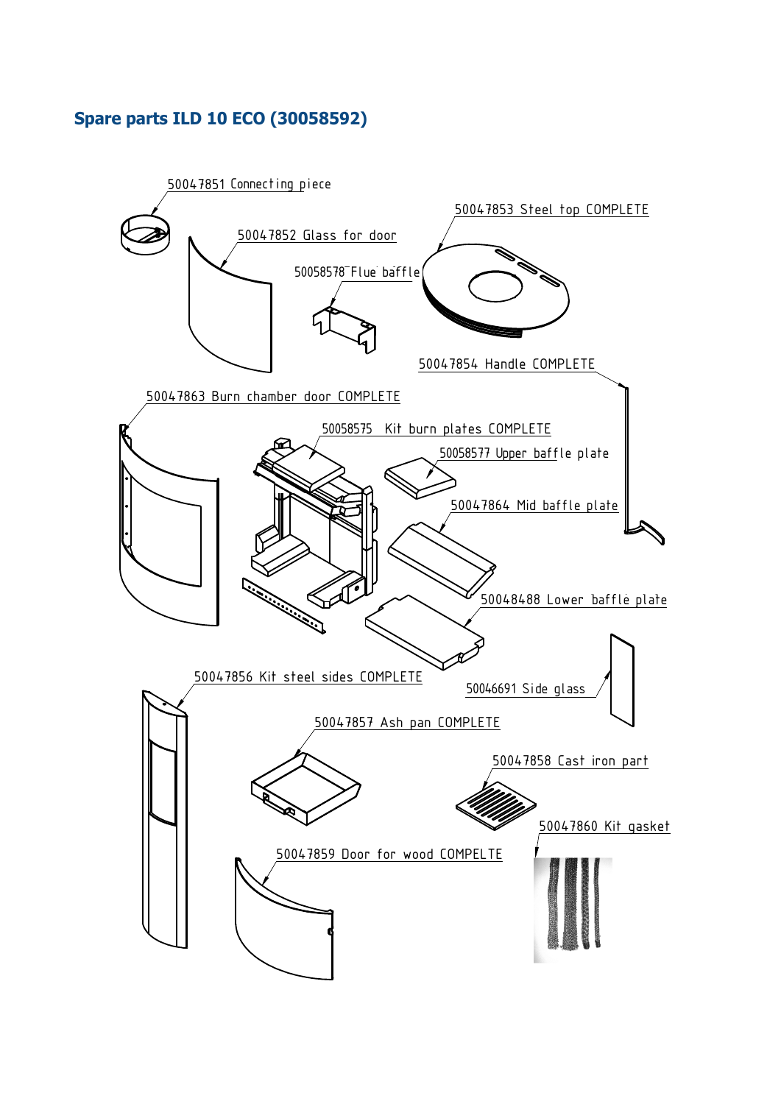## **Spare parts ILD 10 ECO (30058592)**